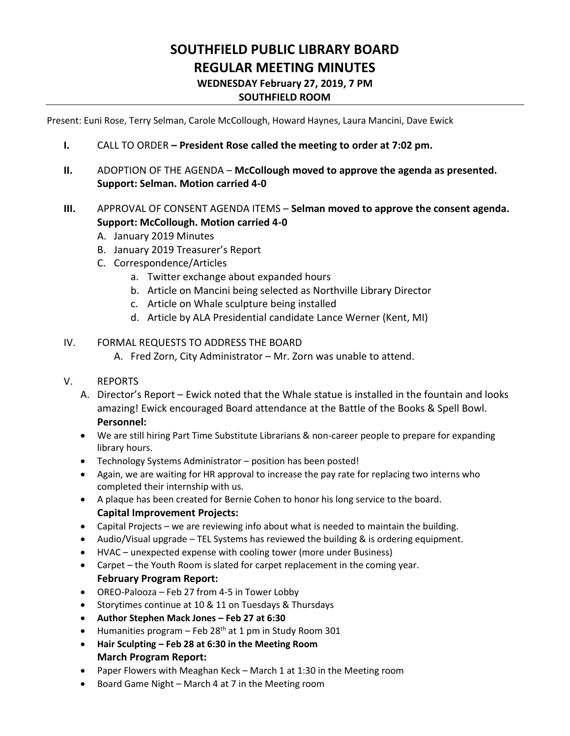# **SOUTHFIELD PUBLIC LIBRARY BOARD REGULAR MEETING MINUTES WEDNESDAY February 27, 2019, 7 PM SOUTHFIELD ROOM**

Present: Euni Rose, Terry Selman, Carole McCollough, Howard Haynes, Laura Mancini, Dave Ewick

- **I.** CALL TO ORDER **– President Rose called the meeting to order at 7:02 pm.**
- **II.** ADOPTION OF THE AGENDA **McCollough moved to approve the agenda as presented. Support: Selman. Motion carried 4-0**

## **III.** APPROVAL OF CONSENT AGENDA ITEMS – **Selman moved to approve the consent agenda. Support: McCollough. Motion carried 4-0**

- A. January 2019 Minutes
- B. January 2019 Treasurer's Report
- C. Correspondence/Articles
	- a. Twitter exchange about expanded hours
	- b. Article on Mancini being selected as Northville Library Director
	- c. Article on Whale sculpture being installed
	- d. Article by ALA Presidential candidate Lance Werner (Kent, MI)

## IV. FORMAL REQUESTS TO ADDRESS THE BOARD

- A. Fred Zorn, City Administrator Mr. Zorn was unable to attend.
- V. REPORTS
	- A. Director's Report Ewick noted that the Whale statue is installed in the fountain and looks amazing! Ewick encouraged Board attendance at the Battle of the Books & Spell Bowl. **Personnel:**
	- We are still hiring Part Time Substitute Librarians & non-career people to prepare for expanding library hours.
	- Technology Systems Administrator position has been posted!
	- Again, we are waiting for HR approval to increase the pay rate for replacing two interns who completed their internship with us.
	- A plaque has been created for Bernie Cohen to honor his long service to the board. **Capital Improvement Projects:**
	- Capital Projects we are reviewing info about what is needed to maintain the building.
	- Audio/Visual upgrade TEL Systems has reviewed the building & is ordering equipment.
	- HVAC unexpected expense with cooling tower (more under Business)
	- Carpet the Youth Room is slated for carpet replacement in the coming year. **February Program Report:**
	- OREO-Palooza Feb 27 from 4-5 in Tower Lobby
	- Storytimes continue at 10 & 11 on Tuesdays & Thursdays
	- **Author Stephen Mack Jones – Feb 27 at 6:30**
	- Humanities program Feb 28<sup>th</sup> at 1 pm in Study Room 301
	- **Hair Sculpting – Feb 28 at 6:30 in the Meeting Room March Program Report:**
	- Paper Flowers with Meaghan Keck March 1 at 1:30 in the Meeting room
	- Board Game Night March 4 at 7 in the Meeting room